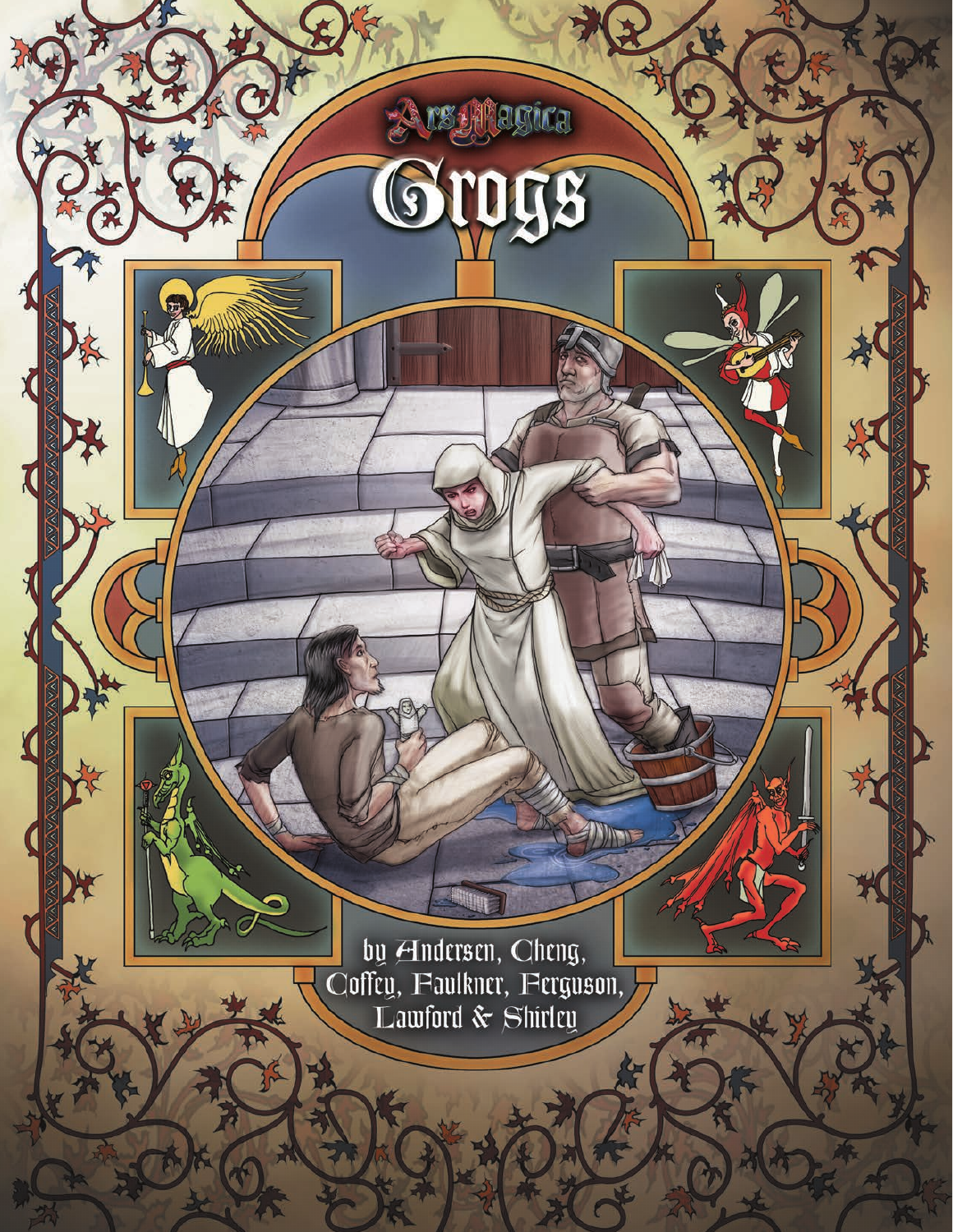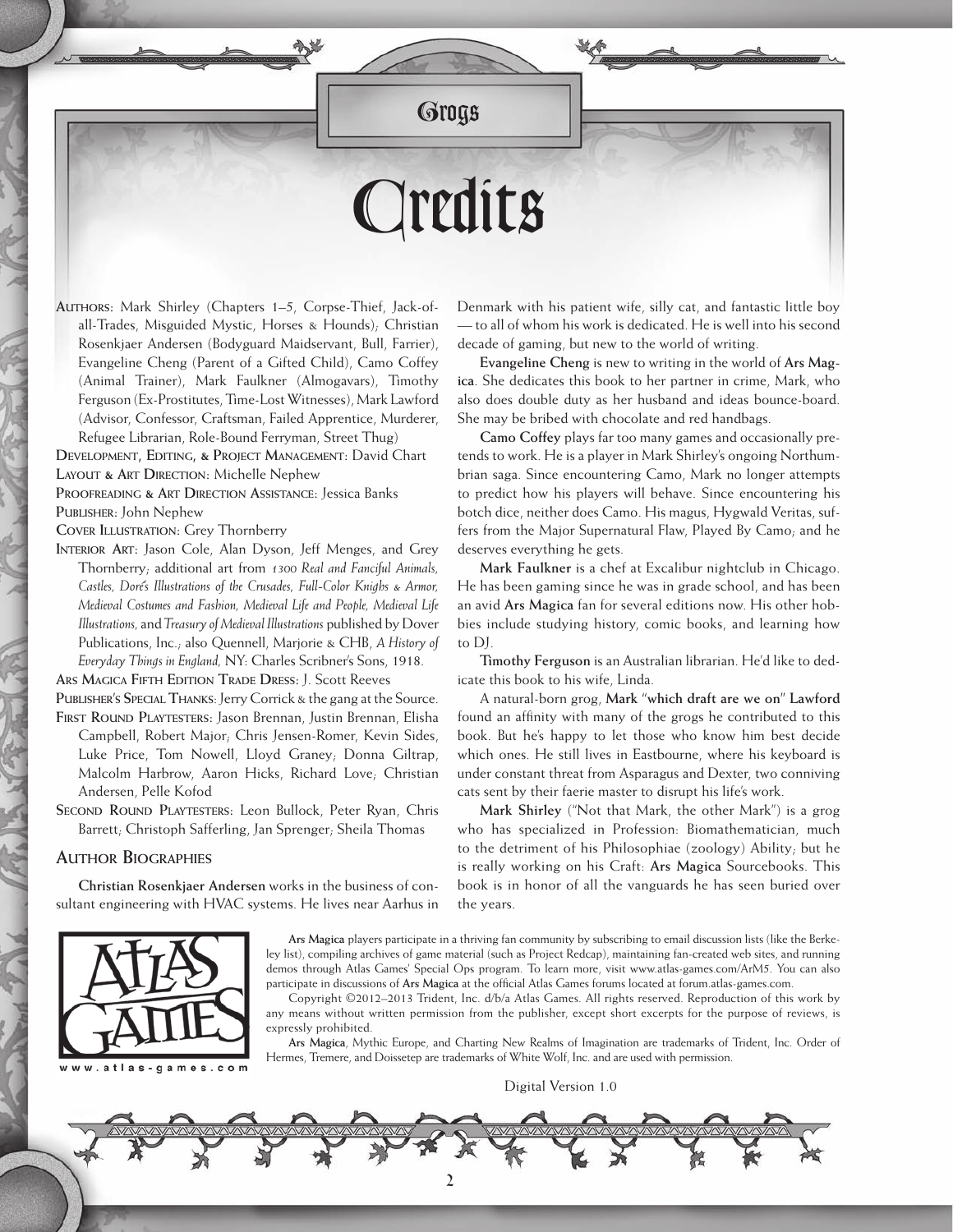## *Credits*

**AUTHORS:** Mark Shirley (Chapters 1–5, Corpse-Thief, Jack-ofall-Trades, Misguided Mystic, Horses & Hounds); Christian Rosenkjaer Andersen (Bodyguard Maidservant, Bull, Farrier), Evangeline Cheng (Parent of a Gifted Child), Camo Coffey (Animal Trainer), Mark Faulkner (Almogavars), Timothy Ferguson (Ex-Prostitutes, Time-Lost Witnesses), Mark Lawford (Advisor, Confessor, Craftsman, Failed Apprentice, Murderer, Refugee Librarian, Role-Bound Ferryman, Street Thug)

**DEVELOPMENT, EDITING, & PROJECT MANAGEMENT:** David Chart **LAYOUT & ART DIRECTION:** Michelle Nephew

**PROOFREADING & ART DIRECTION ASSISTANCE:** Jessica Banks **PUBLISHER:** John Nephew

**COVER ILLUSTRATION:** Grey Thornberry

**INTERIOR ART:** Jason Cole, Alan Dyson, Jeff Menges, and Grey Thornberry; additional art from *1300 Real and Fanciful Animals, Castles, Doré's Illustrations of the Crusades, Full-Color Knighs & Armor, Medieval Costumes and Fashion, Medieval Life and People, Medieval Life Illustrations,* and *Treasury of Medieval Illustrations* published by Dover Publications, Inc.; also Quennell, Marjorie & CHB, *A History of Everyday Things in England,* NY: Charles Scribner's Sons, 1918.

**ARS MAGICA FIFTH EDITION TRADE DRESS:** J. Scott Reeves **PUBLISHER'S SPECIAL THANKS**: Jerry Corrick & the gang at the Source.

- **FIRST ROUND PLAYTESTERS:** Jason Brennan, Justin Brennan, Elisha Campbell, Robert Major; Chris Jensen-Romer, Kevin Sides, Luke Price, Tom Nowell, Lloyd Graney; Donna Giltrap, Malcolm Harbrow, Aaron Hicks, Richard Love; Christian Andersen, Pelle Kofod
- **SECOND ROUND PLAYTESTERS:** Leon Bullock, Peter Ryan, Chris Barrett; Christoph Safferling, Jan Sprenger; Sheila Thomas

#### **AUTHOR BIOGRAPHIES**

**Christian Rosenkjaer Andersen** works in the business of consultant engineering with HVAC systems. He lives near Aarhus in Denmark with his patient wife, silly cat, and fantastic little boy — to all of whom his work is dedicated. He is well into his second decade of gaming, but new to the world of writing.

**Evangeline Cheng** is new to writing in the world of **Ars Magica**. She dedicates this book to her partner in crime, Mark, who also does double duty as her husband and ideas bounce-board. She may be bribed with chocolate and red handbags.

**Camo Coffey** plays far too many games and occasionally pretends to work. He is a player in Mark Shirley's ongoing Northumbrian saga. Since encountering Camo, Mark no longer attempts to predict how his players will behave. Since encountering his botch dice, neither does Camo. His magus, Hygwald Veritas, suffers from the Major Supernatural Flaw, Played By Camo; and he deserves everything he gets.

**Mark Faulkner** is a chef at Excalibur nightclub in Chicago. He has been gaming since he was in grade school, and has been an avid **Ars Magica** fan for several editions now. His other hobbies include studying history, comic books, and learning how to DJ.

**Timothy Ferguson** is an Australian librarian. He'd like to dedicate this book to his wife, Linda.

A natural-born grog, **Mark "which draft are we on" Lawford**  found an affinity with many of the grogs he contributed to this book. But he's happy to let those who know him best decide which ones. He still lives in Eastbourne, where his keyboard is under constant threat from Asparagus and Dexter, two conniving cats sent by their faerie master to disrupt his life's work.

**Mark Shirley** ("Not that Mark, the other Mark") is a grog who has specialized in Profession: Biomathematician, much to the detriment of his Philosophiae (zoology) Ability; but he is really working on his Craft: **Ars Magica** Sourcebooks. This book is in honor of all the vanguards he has seen buried over the years.



**Ars Magica** players participate in a thriving fan community by subscribing to email discussion lists (like the Berkeley list), compiling archives of game material (such as Project Redcap), maintaining fan-created web sites, and running demos through Atlas Games' Special Ops program. To learn more, visit www.atlas-games.com/ArM5. You can also participate in discussions of **Ars Magica** at the official Atlas Games forums located at forum.atlas-games.com.

Copyright ©2012–2013 Trident, Inc. d/b/a Atlas Games. All rights reserved. Reproduction of this work by any means without written permission from the publisher, except short excerpts for the purpose of reviews, is expressly prohibited.

**Ars Magica**, Mythic Europe, and Charting New Realms of Imagination are trademarks of Trident, Inc. Order of Hermes, Tremere, and Doissetep are trademarks of White Wolf, Inc. and are used with permission.

Digital Version 1.0

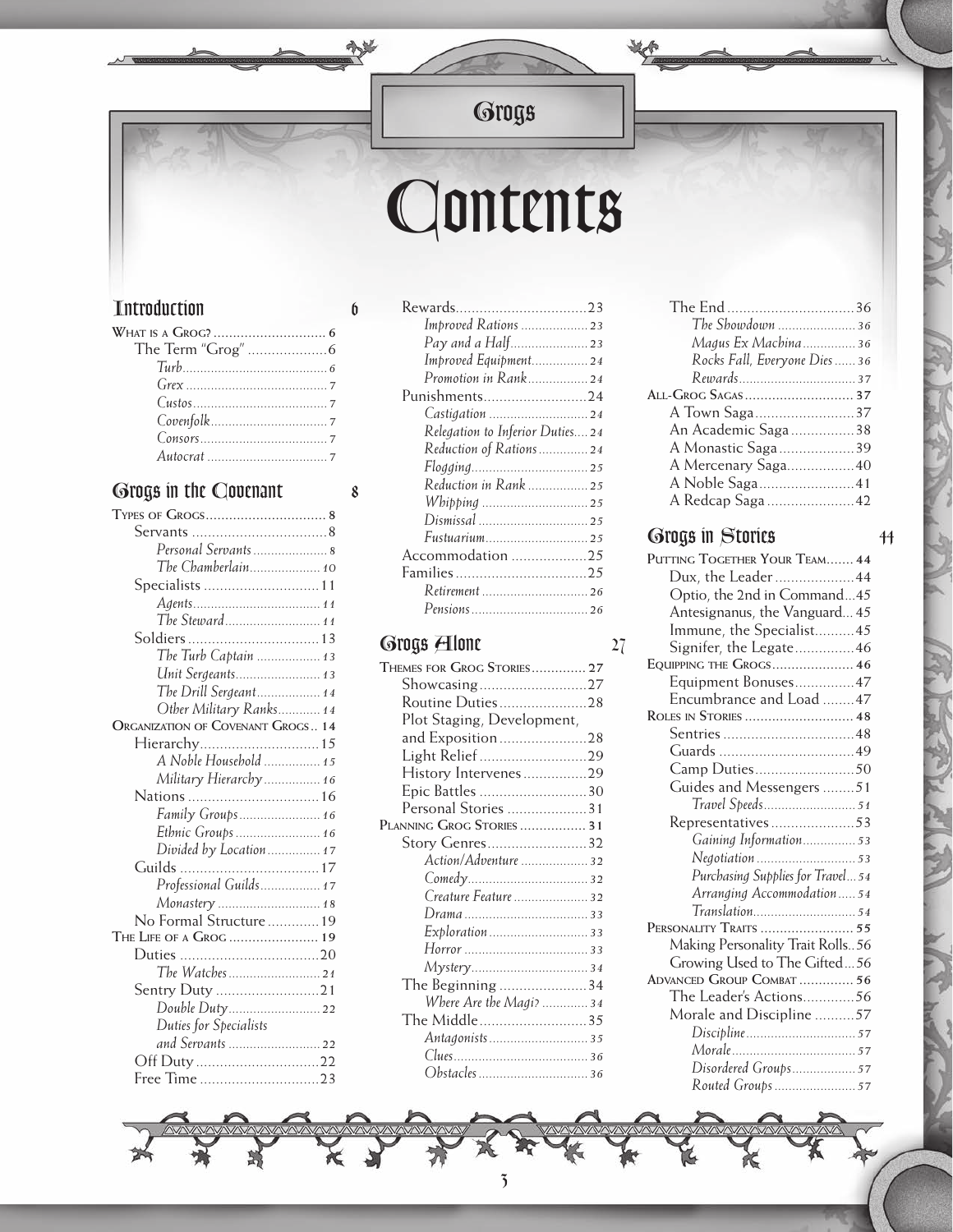小半

美

# *Contents*

### *Introduction 6*

## *Grogs in the Covenant 8*

| Personal Servants  8                     |  |
|------------------------------------------|--|
| The Chamberlain 10                       |  |
| Specialists  11                          |  |
|                                          |  |
| The Steward 11                           |  |
|                                          |  |
| The Turb Captain  13                     |  |
| Unit Sergeants 13                        |  |
| The Drill Sergeant 14                    |  |
| Other Military Ranks 14                  |  |
| <b>ORGANIZATION OF COVENANT GROGS 14</b> |  |
| Hierarchy 15                             |  |
| A Noble Household  15                    |  |
| Military Hierarchy  16                   |  |
|                                          |  |
| Family Groups 16                         |  |
| Ethnic Groups 16                         |  |
| Divided by Location 17                   |  |
|                                          |  |
| Professional Guilds 17                   |  |
|                                          |  |
| No Formal Structure  19                  |  |
| THE LIFE OF A GROG  19                   |  |
|                                          |  |
| The Watches21                            |  |
| Sentry Duty 21                           |  |
|                                          |  |
| Duties for Specialists                   |  |
| and Servants  22                         |  |
|                                          |  |
| Free Time 23                             |  |

| Rewards23                        |  |
|----------------------------------|--|
| Improved Rations  23             |  |
| Pay and a Half23                 |  |
| Improved Equipment 24            |  |
| Promotion in Rank 24             |  |
| Punishments24                    |  |
|                                  |  |
| Relegation to Inferior Duties 24 |  |
| Reduction of Rations  24         |  |
|                                  |  |
| Reduction in Rank  25            |  |
|                                  |  |
|                                  |  |
| Fustuarium 25                    |  |
| Accommodation 25                 |  |
|                                  |  |
| Retirement  26                   |  |
|                                  |  |
|                                  |  |

## *Grogs Alone 27*

| THEMES FOR GROG STORIES 27 |
|----------------------------|
|                            |
| Routine Duties28           |
| Plot Staging, Development, |
| and Exposition28           |
| Light Relief 29            |
| History Intervenes29       |
| Epic Battles 30            |
| Personal Stories 31        |
| PLANNING GROG STORIES  31  |
| Story Genres32             |
| Action/Adventure  32       |
|                            |
| Creature Feature  32       |
|                            |
|                            |
|                            |
|                            |
| The Beginning 34           |
| Where Are the Magi?  34    |
| The Middle35               |
|                            |
|                            |
| Obstacles  36              |

| The Showdown  36            |  |
|-----------------------------|--|
| Magus Ex Machina 36         |  |
| Rocks Fall, Everyone Dies36 |  |
|                             |  |
|                             |  |
| A Town Saga37               |  |
| An Academic Saga38          |  |
| A Monastic Saga39           |  |
| A Mercenary Saga40          |  |
| A Noble Saga41              |  |
| A Redcap Saga42             |  |
|                             |  |

### *Grogs in Stories 44*

| Dux, the Leader44                 |
|-----------------------------------|
| Optio, the 2nd in Command45       |
| Antesignanus, the Vanguard 45     |
| Immune, the Specialist45          |
| Signifer, the Legate46            |
| EQUIPPING THE GROGS 46            |
| Equipment Bonuses 47              |
| Encumbrance and Load 47           |
| ROLES IN STORIES  48              |
|                                   |
|                                   |
|                                   |
| Guides and Messengers 51          |
|                                   |
| Representatives53                 |
| Gaining Information 53            |
|                                   |
| Purchasing Supplies for Travel 54 |
| Arranging Accommodation 54        |
| Translation 54                    |
|                                   |
| Making Personality Trait Rolls56  |
| Growing Used to The Gifted56      |
| ADVANCED GROUP COMBAT  56         |
| The Leader's Actions56            |
| Morale and Discipline 57          |
|                                   |
|                                   |
| Disordered Groups 57              |
| Routed Groups  57                 |

*3*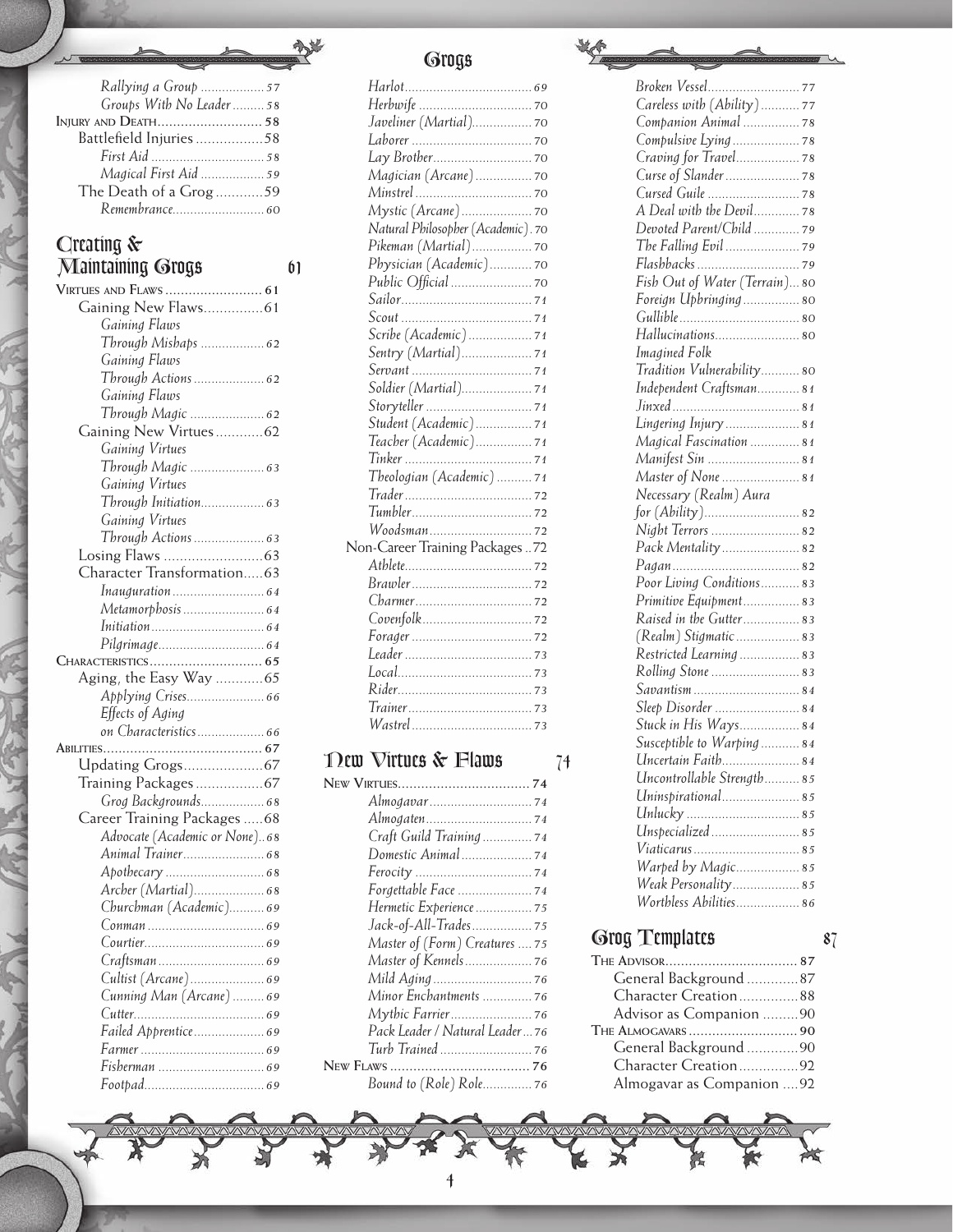| Rallying a Group  57          |    |
|-------------------------------|----|
| Groups With No Leader  58     |    |
| <b>INJURY AND DEATH 58</b>    |    |
| Battlefield Injuries58        |    |
|                               |    |
|                               |    |
| Magical First Aid  59         |    |
| The Death of a Grog59         |    |
| Remembrance 60                |    |
|                               |    |
| Creating $\&$                 |    |
| <b>Maintaining Grogs</b>      | 61 |
|                               |    |
|                               |    |
| Gaining New Flaws 61          |    |
| Gaining Flaws                 |    |
| Through Mishaps  62           |    |
| Gaining Flaws                 |    |
|                               |    |
| Through Actions  62           |    |
| Gaining Flaws                 |    |
|                               |    |
| Gaining New Virtues62         |    |
| Gaining Virtues               |    |
| Through Magic  63             |    |
| Gaining Virtues               |    |
|                               |    |
|                               |    |
| Gaining Virtues               |    |
|                               |    |
|                               |    |
| Character Transformation63    |    |
|                               |    |
|                               |    |
|                               |    |
|                               |    |
|                               |    |
| Aging, the Easy Way 65        |    |
|                               |    |
|                               |    |
| Effects of Aging              |    |
|                               |    |
|                               |    |
|                               |    |
| Training Packages67           |    |
| Grog Backgrounds 68           |    |
| Career Training Packages  68  |    |
| Advocate (Academic or None)68 |    |
|                               |    |
|                               |    |
|                               |    |
|                               |    |
| Churchman (Academic) 69       |    |
|                               |    |
|                               |    |
|                               |    |
| Cultist (Arcane) 69           |    |
| Cunning Man (Arcane)  69      |    |
|                               |    |
| Failed Apprentice 69          |    |
|                               |    |
|                               |    |
|                               |    |
|                               |    |

办

| Magician (Arcane) 70               |
|------------------------------------|
|                                    |
|                                    |
| Natural Philosopher (Academic). 70 |
| Pikeman (Martial) 70               |
| Physician (Academic) 70            |
|                                    |
|                                    |
|                                    |
| Scribe (Academic) 71               |
| Sentry (Martial) 71                |
|                                    |
|                                    |
|                                    |
| Student (Academic) 71              |
| Teacher (Academic) 71              |
|                                    |
| Theologian (Academic) 71           |
|                                    |
|                                    |
|                                    |
| Non-Career Training Packages 72    |
|                                    |
|                                    |
|                                    |
|                                    |
|                                    |
|                                    |
|                                    |
|                                    |
|                                    |
|                                    |

## *New Virtues & Flaws 74*

| Almogavar 74                   |
|--------------------------------|
|                                |
| Craft Guild Training  74       |
|                                |
|                                |
|                                |
| Hermetic Experience  75        |
|                                |
| Master of (Form) Creatures  75 |
| Master of Kennels 76           |
|                                |
| Minor Enchantments  76         |
|                                |
| Pack Leader / Natural Leader76 |
|                                |
|                                |
| Bound to (Role) Role 76        |

*4*

| Careless with (Ability)77      |
|--------------------------------|
| Companion Animal  78           |
|                                |
|                                |
|                                |
|                                |
| A Deal with the Devil 78       |
| Devoted Parent/Child  79       |
|                                |
|                                |
| Fish Out of Water (Terrain) 80 |
|                                |
| Foreign Upbringing 80          |
|                                |
| Hallucinations 80              |
| Imagined Folk                  |
| Tradition Vulnerability 80     |
| Independent Craftsman 81       |
|                                |
| Lingering Injury  81           |
| Magical Fascination  81        |
| Manifest Sin  81               |
| Master of None  81             |
| Necessary (Realm) Aura         |
|                                |
| Night Terrors  82              |
| Pack Mentality 82              |
|                                |
| Poor Living Conditions 83      |
| Primitive Equipment 83         |
| Raised in the Gutter 83        |
| (Realm) Stigmatic  83          |
| Restricted Learning  83        |
|                                |
| Savantism  84                  |
| Sleep Disorder  84             |
| Stuck in His Ways 84           |
| Susceptible to Warping84       |
| Uncertain Faith 84             |
| Uncontrollable Strength85      |
| Uninspirational 85             |
|                                |
|                                |
| Unspecialized 85               |
| Viaticarus 85                  |
| Warped by Magic 85             |
| Weak Personality 85            |
| Worthless Abilities 86         |

#### *Grog Templates 87*

| General Background 87     |  |
|---------------------------|--|
| Character Creation88      |  |
| Advisor as Companion 90   |  |
|                           |  |
| General Background 90     |  |
| Character Creation92      |  |
| Almogavar as Companion 92 |  |
|                           |  |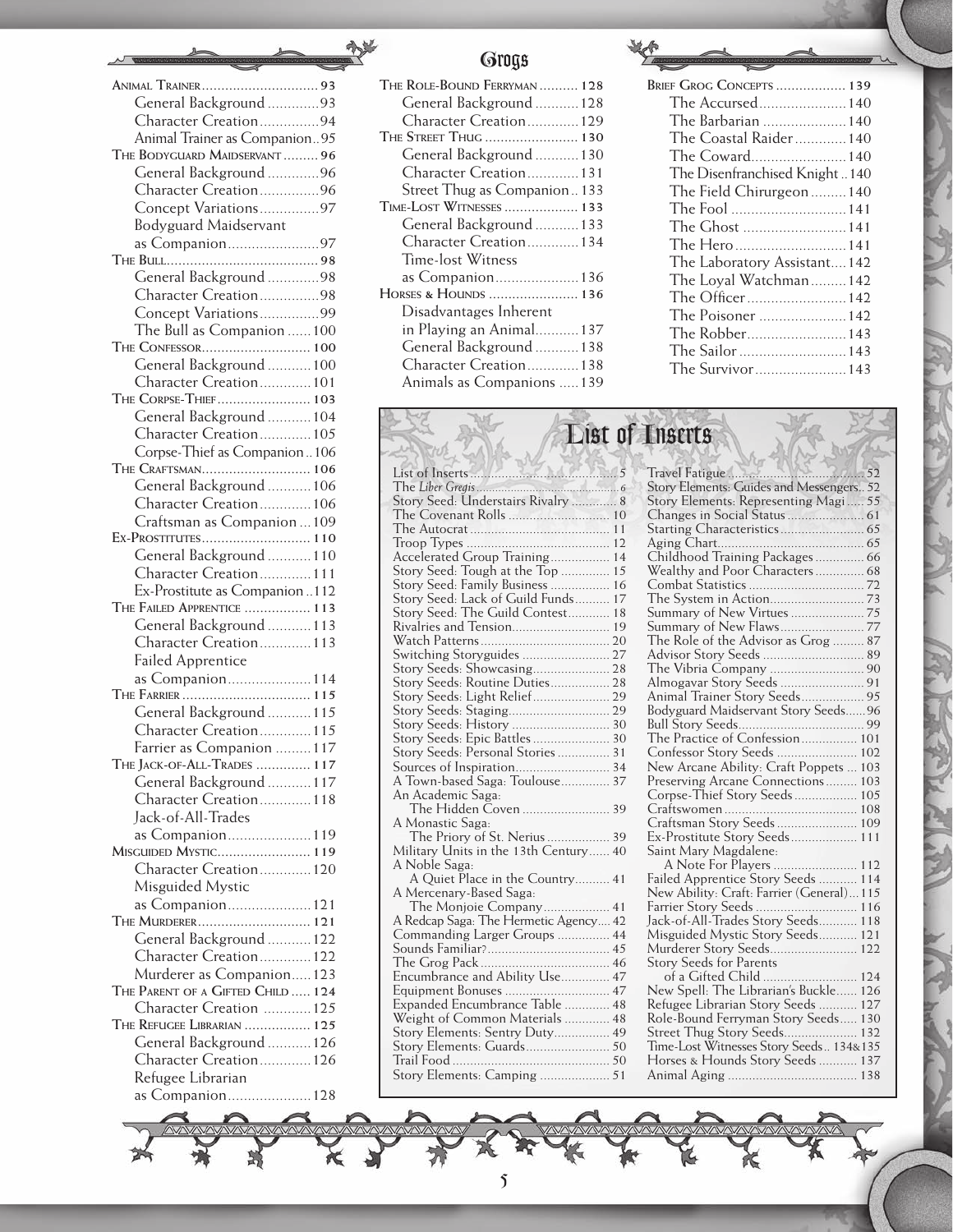

| The Role-Bound Ferryman  128 |
|------------------------------|
| General Background  128      |
| Character Creation 129       |
| THE STREET THUG  130         |
| General Background  130      |
| Character Creation 131       |
| Street Thug as Companion133  |
| TIME-LOST WITNESSES  133     |
| General Background  133      |
|                              |
| Character Creation 134       |
| Time-lost Witness            |
| as Companion 136             |
| HORSES & HOUNDS  136         |
| Disadvantages Inherent       |
| in Playing an Animal 137     |
| General Background  138      |
| Character Creation 138       |
| Animals as Companions  139   |
|                              |

| <b>BRIEF GROG CONCEPTS  139</b> |
|---------------------------------|
| The Accursed 140                |
| The Barbarian  140              |
| The Coastal Raider 140          |
| The Coward 140                  |
| The Disenfranchised Knight 140  |
| The Field Chirurgeon  140       |
|                                 |
| The Ghost  141                  |
|                                 |
| The Laboratory Assistant142     |
| The Loyal Watchman142           |
| The Officer 142                 |
| The Poisoner  142               |
| The Robber 143                  |
| The Sailor  143                 |
|                                 |
|                                 |

## *List of Inserts*

|                                       | Tr             |
|---------------------------------------|----------------|
|                                       | St             |
| Story Seed: Understairs Rivalry  8    | St             |
| The Covenant Rolls  10                | $\overline{C}$ |
|                                       | St             |
|                                       | Aş             |
| Accelerated Group Training 14         | С              |
| Story Seed: Tough at the Top  15      | W              |
| Story Seed: Family Business  16       | С              |
| Story Seed: Lack of Guild Funds 17    | T <sup>1</sup> |
| Story Seed: The Guild Contest 18      | Sι             |
| Rivalries and Tension 19              | Sι             |
|                                       | T1             |
| Switching Storyguides  27             | A              |
| Story Seeds: Showcasing 28            | T1             |
| Story Seeds: Routine Duties 28        | $\mathsf{A}$   |
| Story Seeds: Light Relief 29          | A <sub>1</sub> |
| Story Seeds: Staging 29               | <b>B</b> c     |
| Story Seeds: History  30              | Bι             |
| Story Seeds: Epic Battles  30         | T              |
| Story Seeds: Personal Stories 31      | С              |
|                                       | N              |
| A Town-based Saga: Toulouse 37        | P <sub>f</sub> |
| An Academic Saga:                     | С              |
| The Hidden Coven  39                  | С              |
| A Monastic Saga:                      | С              |
| The Priory of St. Nerius  39          | E              |
| Military Units in the 13th Century 40 | Sa             |
| A Noble Saga:                         |                |
| A Quiet Place in the Country 41       | Fa             |
| A Mercenary-Based Saga:               | N              |
| The Monjoie Company 41                | Fa             |
| A Redcap Saga: The Hermetic Agency 42 | Ja             |
| Commanding Larger Groups  44          | М              |
|                                       | М              |
|                                       | St             |
| Encumbrance and Ability Use 47        |                |
|                                       | N              |
| Expanded Encumbrance Table  48        | Rσ             |
| Weight of Common Materials  48        | R <sub>0</sub> |
| Story Elements: Sentry Duty 49        | St             |
|                                       | Tì             |
|                                       | Н              |
|                                       | A <sub>1</sub> |
|                                       |                |

| Story Elements: Guides and Messengers 52  |  |
|-------------------------------------------|--|
| Story Elements: Representing Magi 55      |  |
|                                           |  |
|                                           |  |
|                                           |  |
| Childhood Training Packages  66           |  |
| Wealthy and Poor Characters  68           |  |
|                                           |  |
|                                           |  |
| Summary of New Virtues  75                |  |
|                                           |  |
| The Role of the Advisor as Grog  87       |  |
| Advisor Story Seeds  89                   |  |
|                                           |  |
|                                           |  |
| Animal Trainer Story Seeds 95             |  |
| Bodyguard Maidservant Story Seeds96       |  |
|                                           |  |
| The Practice of Confession 101            |  |
| Confessor Story Seeds  102                |  |
| New Arcane Ability: Craft Poppets  103    |  |
| Preserving Arcane Connections 103         |  |
| Corpse-Thief Story Seeds 105              |  |
|                                           |  |
|                                           |  |
| Ex-Prostitute Story Seeds 111             |  |
| Saint Mary Magdalene:                     |  |
| A Note For Players  112                   |  |
| Failed Apprentice Story Seeds  114        |  |
| New Ability: Craft: Farrier (General) 115 |  |
| Farrier Story Seeds  116                  |  |
| Jack-of-All-Trades Story Seeds 118        |  |
| Misguided Mystic Story Seeds 121          |  |
| Murderer Story Seeds 122                  |  |
| <b>Story Seeds for Parents</b>            |  |
| of a Gifted Child  124                    |  |
| New Spell: The Librarian's Buckle 126     |  |
| Refugee Librarian Story Seeds  127        |  |
| Role-Bound Ferryman Story Seeds 130       |  |
| Street Thug Story Seeds 132               |  |
| Time-Lost Witnesses Story Seeds 134&135   |  |
| Horses & Hounds Story Seeds  137          |  |
|                                           |  |

*5*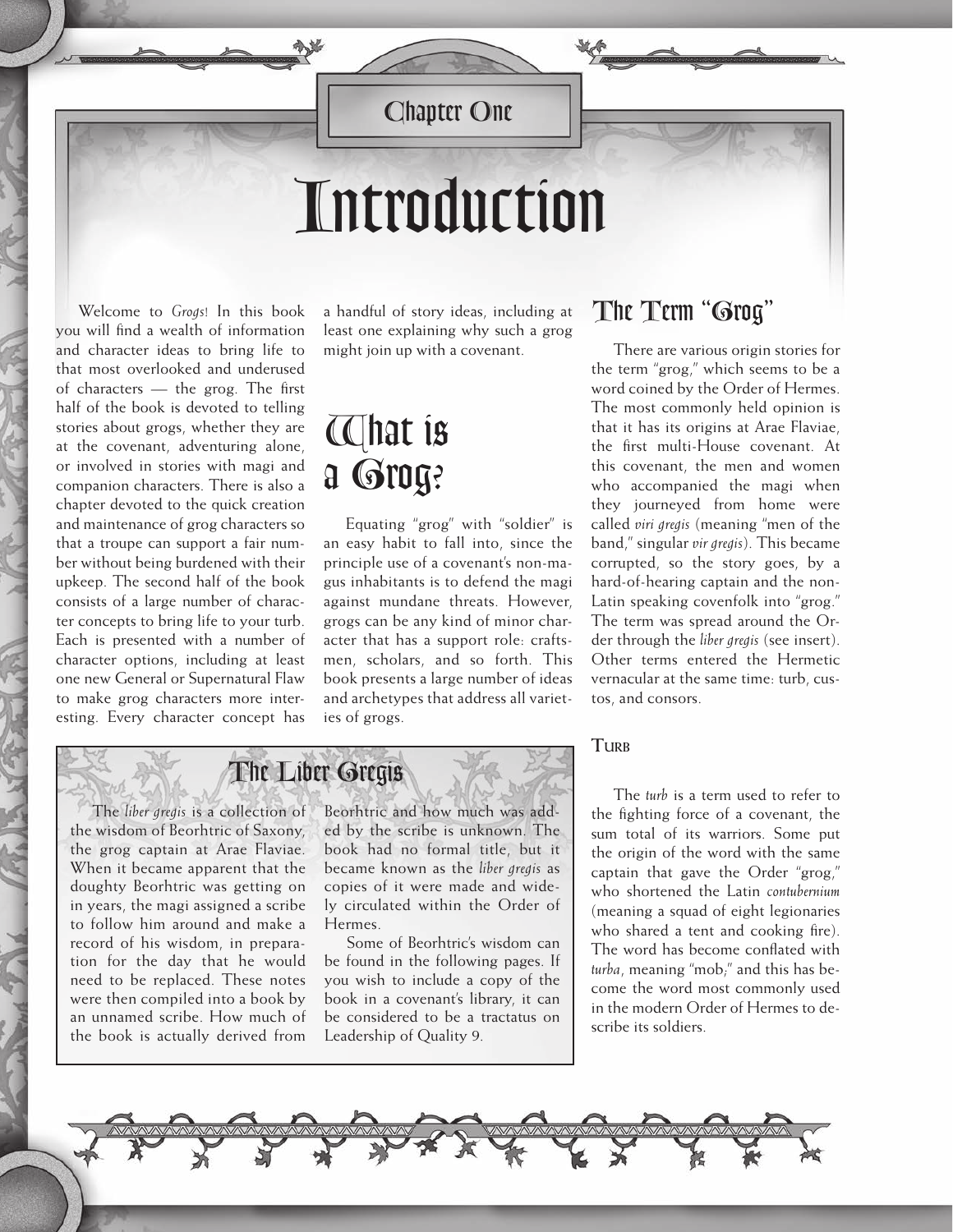*Chapter One*

## *Introduction*

Welcome to *Grogs*! In this book you will find a wealth of information and character ideas to bring life to that most overlooked and underused of characters — the grog. The first half of the book is devoted to telling stories about grogs, whether they are at the covenant, adventuring alone, or involved in stories with magi and companion characters. There is also a chapter devoted to the quick creation and maintenance of grog characters so that a troupe can support a fair number without being burdened with their upkeep. The second half of the book consists of a large number of character concepts to bring life to your turb. Each is presented with a number of character options, including at least one new General or Supernatural Flaw to make grog characters more interesting. Every character concept has

a handful of story ideas, including at least one explaining why such a grog might join up with a covenant.

## *What is a Grog?*

Equating "grog" with "soldier" is an easy habit to fall into, since the principle use of a covenant's non-magus inhabitants is to defend the magi against mundane threats. However, grogs can be any kind of minor character that has a support role: craftsmen, scholars, and so forth. This book presents a large number of ideas and archetypes that address all varieties of grogs.

## *The Term "Grog"*

There are various origin stories for the term "grog," which seems to be a word coined by the Order of Hermes. The most commonly held opinion is that it has its origins at Arae Flaviae, the first multi-House covenant. At this covenant, the men and women who accompanied the magi when they journeyed from home were called *viri gregis* (meaning "men of the band," singular *vir gregis*). This became corrupted, so the story goes, by a hard-of-hearing captain and the non-Latin speaking covenfolk into "grog." The term was spread around the Order through the *liber gregis* (see insert). Other terms entered the Hermetic vernacular at the same time: turb, custos, and consors.

## *The Liber Gregis*

The *liber gregis* is a collection of the wisdom of Beorhtric of Saxony, the grog captain at Arae Flaviae. When it became apparent that the doughty Beorhtric was getting on in years, the magi assigned a scribe to follow him around and make a record of his wisdom, in preparation for the day that he would need to be replaced. These notes were then compiled into a book by an unnamed scribe. How much of the book is actually derived from Beorhtric and how much was added by the scribe is unknown. The book had no formal title, but it became known as the *liber gregis* as copies of it were made and widely circulated within the Order of Hermes.

Some of Beorhtric's wisdom can be found in the following pages. If you wish to include a copy of the book in a covenant's library, it can be considered to be a tractatus on Leadership of Quality 9.

#### **TURB**

The *turb* is a term used to refer to the fighting force of a covenant, the sum total of its warriors. Some put the origin of the word with the same captain that gave the Order "grog," who shortened the Latin *contubernium* (meaning a squad of eight legionaries who shared a tent and cooking fire). The word has become conflated with *turba*, meaning "mob;" and this has become the word most commonly used in the modern Order of Hermes to describe its soldiers.